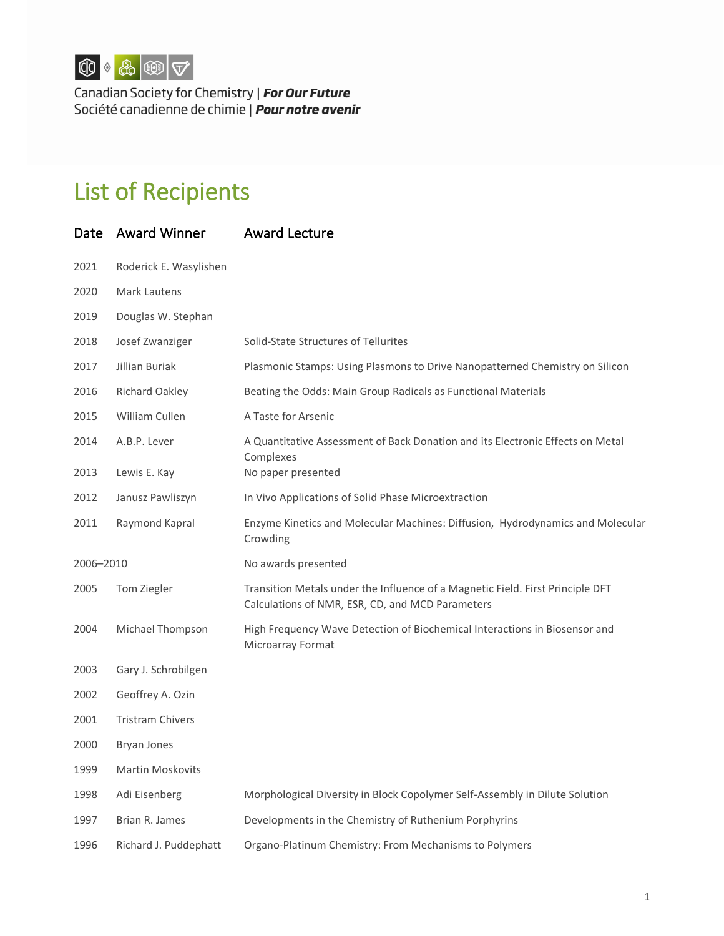

Canadian Society for Chemistry | **For Our Future**<br>Société canadienne de chimie | **Pour notre avenir** 

## List of Recipients

| Date      | <b>Award Winner</b>     | <b>Award Lecture</b>                                                                                                               |
|-----------|-------------------------|------------------------------------------------------------------------------------------------------------------------------------|
| 2021      | Roderick E. Wasylishen  |                                                                                                                                    |
| 2020      | Mark Lautens            |                                                                                                                                    |
| 2019      | Douglas W. Stephan      |                                                                                                                                    |
| 2018      | Josef Zwanziger         | Solid-State Structures of Tellurites                                                                                               |
| 2017      | Jillian Buriak          | Plasmonic Stamps: Using Plasmons to Drive Nanopatterned Chemistry on Silicon                                                       |
| 2016      | <b>Richard Oakley</b>   | Beating the Odds: Main Group Radicals as Functional Materials                                                                      |
| 2015      | William Cullen          | A Taste for Arsenic                                                                                                                |
| 2014      | A.B.P. Lever            | A Quantitative Assessment of Back Donation and its Electronic Effects on Metal<br>Complexes                                        |
| 2013      | Lewis E. Kay            | No paper presented                                                                                                                 |
| 2012      | Janusz Pawliszyn        | In Vivo Applications of Solid Phase Microextraction                                                                                |
| 2011      | Raymond Kapral          | Enzyme Kinetics and Molecular Machines: Diffusion, Hydrodynamics and Molecular<br>Crowding                                         |
| 2006-2010 |                         | No awards presented                                                                                                                |
| 2005      | Tom Ziegler             | Transition Metals under the Influence of a Magnetic Field. First Principle DFT<br>Calculations of NMR, ESR, CD, and MCD Parameters |
| 2004      | Michael Thompson        | High Frequency Wave Detection of Biochemical Interactions in Biosensor and<br>Microarray Format                                    |
| 2003      | Gary J. Schrobilgen     |                                                                                                                                    |
| 2002      | Geoffrey A. Ozin        |                                                                                                                                    |
| 2001      | <b>Tristram Chivers</b> |                                                                                                                                    |
| 2000      | <b>Bryan Jones</b>      |                                                                                                                                    |
| 1999      | Martin Moskovits        |                                                                                                                                    |
| 1998      | Adi Eisenberg           | Morphological Diversity in Block Copolymer Self-Assembly in Dilute Solution                                                        |
| 1997      | Brian R. James          | Developments in the Chemistry of Ruthenium Porphyrins                                                                              |
| 1996      | Richard J. Puddephatt   | Organo-Platinum Chemistry: From Mechanisms to Polymers                                                                             |